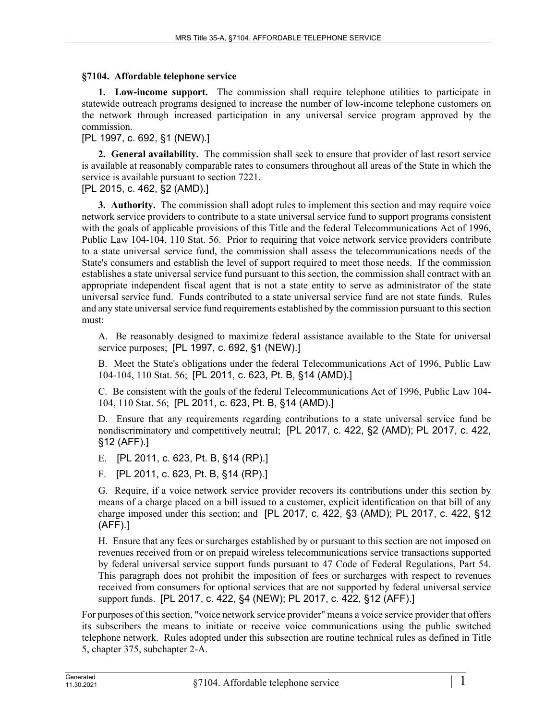## **§7104. Affordable telephone service**

**1. Low-income support.** The commission shall require telephone utilities to participate in statewide outreach programs designed to increase the number of low-income telephone customers on the network through increased participation in any universal service program approved by the commission.

[PL 1997, c. 692, §1 (NEW).]

**2. General availability.** The commission shall seek to ensure that provider of last resort service is available at reasonably comparable rates to consumers throughout all areas of the State in which the service is available pursuant to section 7221.

## [PL 2015, c. 462, §2 (AMD).]

**3. Authority.** The commission shall adopt rules to implement this section and may require voice network service providers to contribute to a state universal service fund to support programs consistent with the goals of applicable provisions of this Title and the federal Telecommunications Act of 1996, Public Law 104-104, 110 Stat. 56. Prior to requiring that voice network service providers contribute to a state universal service fund, the commission shall assess the telecommunications needs of the State's consumers and establish the level of support required to meet those needs. If the commission establishes a state universal service fund pursuant to this section, the commission shall contract with an appropriate independent fiscal agent that is not a state entity to serve as administrator of the state universal service fund. Funds contributed to a state universal service fund are not state funds. Rules and any state universal service fund requirements established by the commission pursuant to this section must:

A. Be reasonably designed to maximize federal assistance available to the State for universal service purposes; [PL 1997, c. 692, §1 (NEW).]

B. Meet the State's obligations under the federal Telecommunications Act of 1996, Public Law 104-104, 110 Stat. 56; [PL 2011, c. 623, Pt. B, §14 (AMD).]

C. Be consistent with the goals of the federal Telecommunications Act of 1996, Public Law 104- 104, 110 Stat. 56; [PL 2011, c. 623, Pt. B, §14 (AMD).]

D. Ensure that any requirements regarding contributions to a state universal service fund be nondiscriminatory and competitively neutral; [PL 2017, c. 422, §2 (AMD); PL 2017, c. 422, §12 (AFF).]

E. [PL 2011, c. 623, Pt. B, §14 (RP).]

F. [PL 2011, c. 623, Pt. B, §14 (RP).]

G. Require, if a voice network service provider recovers its contributions under this section by means of a charge placed on a bill issued to a customer, explicit identification on that bill of any charge imposed under this section; and [PL 2017, c. 422, §3 (AMD); PL 2017, c. 422, §12 (AFF).]

H. Ensure that any fees or surcharges established by or pursuant to this section are not imposed on revenues received from or on prepaid wireless telecommunications service transactions supported by federal universal service support funds pursuant to 47 Code of Federal Regulations, Part 54. This paragraph does not prohibit the imposition of fees or surcharges with respect to revenues received from consumers for optional services that are not supported by federal universal service support funds. [PL 2017, c. 422, §4 (NEW); PL 2017, c. 422, §12 (AFF).]

For purposes of this section, "voice network service provider" means a voice service provider that offers its subscribers the means to initiate or receive voice communications using the public switched telephone network. Rules adopted under this subsection are routine technical rules as defined in Title 5, chapter 375, subchapter 2-A.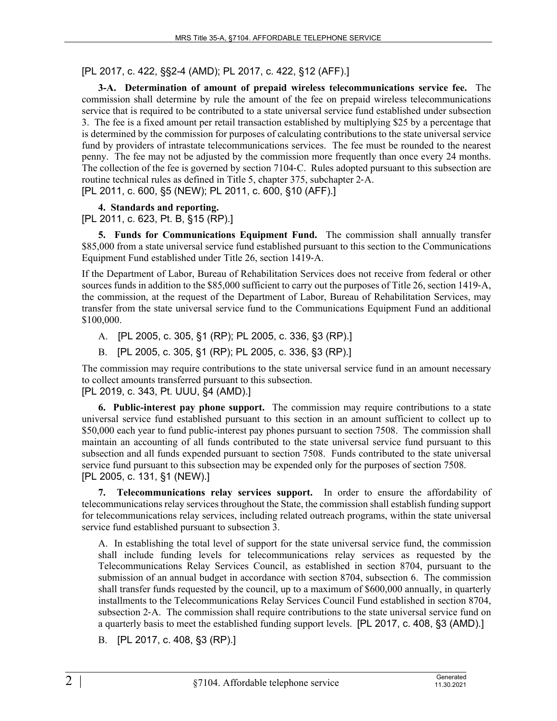# [PL 2017, c. 422, §§2-4 (AMD); PL 2017, c. 422, §12 (AFF).]

**3-A. Determination of amount of prepaid wireless telecommunications service fee.** The commission shall determine by rule the amount of the fee on prepaid wireless telecommunications service that is required to be contributed to a state universal service fund established under subsection 3. The fee is a fixed amount per retail transaction established by multiplying \$25 by a percentage that is determined by the commission for purposes of calculating contributions to the state universal service fund by providers of intrastate telecommunications services. The fee must be rounded to the nearest penny. The fee may not be adjusted by the commission more frequently than once every 24 months. The collection of the fee is governed by section 7104‑C. Rules adopted pursuant to this subsection are routine technical rules as defined in Title 5, chapter 375, subchapter 2‑A. [PL 2011, c. 600, §5 (NEW); PL 2011, c. 600, §10 (AFF).]

# **4. Standards and reporting.**

[PL 2011, c. 623, Pt. B, §15 (RP).]

**5. Funds for Communications Equipment Fund.** The commission shall annually transfer \$85,000 from a state universal service fund established pursuant to this section to the Communications Equipment Fund established under Title 26, section 1419‑A.

If the Department of Labor, Bureau of Rehabilitation Services does not receive from federal or other sources funds in addition to the \$85,000 sufficient to carry out the purposes of Title 26, section 1419-A, the commission, at the request of the Department of Labor, Bureau of Rehabilitation Services, may transfer from the state universal service fund to the Communications Equipment Fund an additional \$100,000.

- A. [PL 2005, c. 305, §1 (RP); PL 2005, c. 336, §3 (RP).]
- B. [PL 2005, c. 305, §1 (RP); PL 2005, c. 336, §3 (RP).]

The commission may require contributions to the state universal service fund in an amount necessary to collect amounts transferred pursuant to this subsection. [PL 2019, c. 343, Pt. UUU, §4 (AMD).]

**6. Public-interest pay phone support.** The commission may require contributions to a state universal service fund established pursuant to this section in an amount sufficient to collect up to \$50,000 each year to fund public-interest pay phones pursuant to section 7508. The commission shall maintain an accounting of all funds contributed to the state universal service fund pursuant to this subsection and all funds expended pursuant to section 7508. Funds contributed to the state universal service fund pursuant to this subsection may be expended only for the purposes of section 7508. [PL 2005, c. 131, §1 (NEW).]

**7. Telecommunications relay services support.** In order to ensure the affordability of telecommunications relay services throughout the State, the commission shall establish funding support for telecommunications relay services, including related outreach programs, within the state universal service fund established pursuant to subsection 3.

A. In establishing the total level of support for the state universal service fund, the commission shall include funding levels for telecommunications relay services as requested by the Telecommunications Relay Services Council, as established in section 8704, pursuant to the submission of an annual budget in accordance with section 8704, subsection 6. The commission shall transfer funds requested by the council, up to a maximum of \$600,000 annually, in quarterly installments to the Telecommunications Relay Services Council Fund established in section 8704, subsection 2‑A. The commission shall require contributions to the state universal service fund on a quarterly basis to meet the established funding support levels. [PL 2017, c. 408, §3 (AMD).]

B. [PL 2017, c. 408, §3 (RP).]